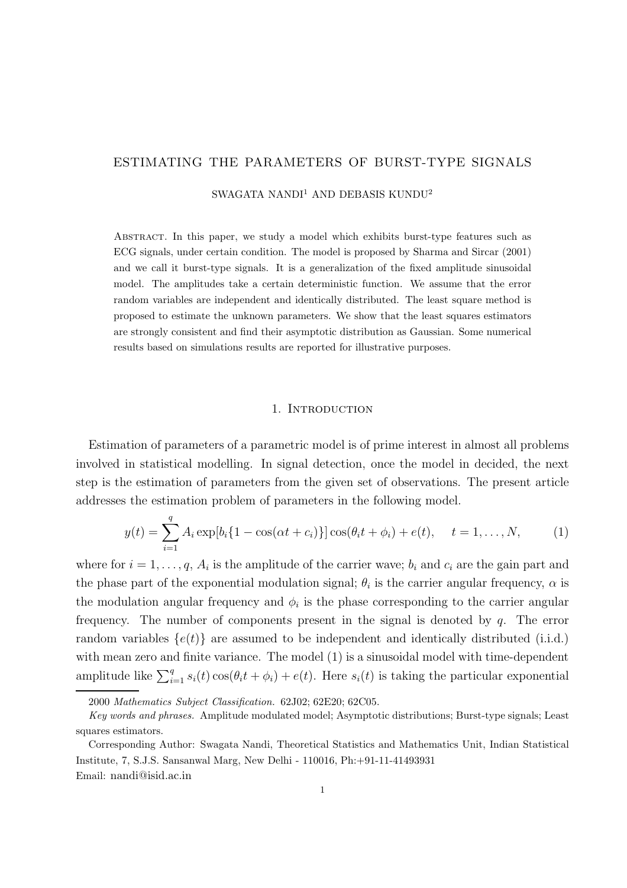# ESTIMATING THE PARAMETERS OF BURST-TYPE SIGNALS

SWAGATA NANDI<sup>1</sup> AND DEBASIS KUNDU<sup>2</sup>

Abstract. In this paper, we study a model which exhibits burst-type features such as ECG signals, under certain condition. The model is proposed by Sharma and Sircar (2001) and we call it burst-type signals. It is a generalization of the fixed amplitude sinusoidal model. The amplitudes take a certain deterministic function. We assume that the error random variables are independent and identically distributed. The least square method is proposed to estimate the unknown parameters. We show that the least squares estimators are strongly consistent and find their asymptotic distribution as Gaussian. Some numerical results based on simulations results are reported for illustrative purposes.

### 1. INTRODUCTION

Estimation of parameters of a parametric model is of prime interest in almost all problems involved in statistical modelling. In signal detection, once the model in decided, the next step is the estimation of parameters from the given set of observations. The present article addresses the estimation problem of parameters in the following model.

$$
y(t) = \sum_{i=1}^{q} A_i \exp[b_i \{ 1 - \cos(\alpha t + c_i) \}] \cos(\theta_i t + \phi_i) + e(t), \quad t = 1, ..., N,
$$
 (1)

where for  $i = 1, \ldots, q$ ,  $A_i$  is the amplitude of the carrier wave;  $b_i$  and  $c_i$  are the gain part and the phase part of the exponential modulation signal;  $\theta_i$  is the carrier angular frequency,  $\alpha$  is the modulation angular frequency and  $\phi_i$  is the phase corresponding to the carrier angular frequency. The number of components present in the signal is denoted by  $q$ . The error random variables  $\{e(t)\}\$ are assumed to be independent and identically distributed (i.i.d.) with mean zero and finite variance. The model (1) is a sinusoidal model with time-dependent amplitude like  $\sum_{i=1}^{q} s_i(t) \cos(\theta_i t + \phi_i) + e(t)$ . Here  $s_i(t)$  is taking the particular exponential

<sup>2000</sup> Mathematics Subject Classification. 62J02; 62E20; 62C05.

Key words and phrases. Amplitude modulated model; Asymptotic distributions; Burst-type signals; Least squares estimators.

Corresponding Author: Swagata Nandi, Theoretical Statistics and Mathematics Unit, Indian Statistical Institute, 7, S.J.S. Sansanwal Marg, New Delhi - 110016, Ph:+91-11-41493931 Email: nandi@isid.ac.in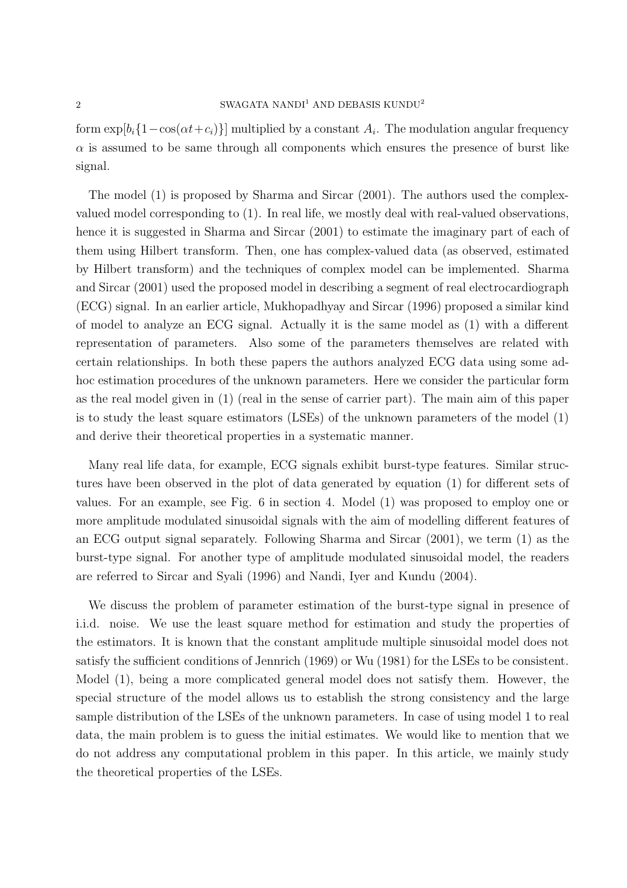form  $\exp[b_i\{1-\cos(\alpha t+c_i)\}]$  multiplied by a constant  $A_i$ . The modulation angular frequency  $\alpha$  is assumed to be same through all components which ensures the presence of burst like signal.

The model (1) is proposed by Sharma and Sircar (2001). The authors used the complexvalued model corresponding to (1). In real life, we mostly deal with real-valued observations, hence it is suggested in Sharma and Sircar (2001) to estimate the imaginary part of each of them using Hilbert transform. Then, one has complex-valued data (as observed, estimated by Hilbert transform) and the techniques of complex model can be implemented. Sharma and Sircar (2001) used the proposed model in describing a segment of real electrocardiograph (ECG) signal. In an earlier article, Mukhopadhyay and Sircar (1996) proposed a similar kind of model to analyze an ECG signal. Actually it is the same model as (1) with a different representation of parameters. Also some of the parameters themselves are related with certain relationships. In both these papers the authors analyzed ECG data using some adhoc estimation procedures of the unknown parameters. Here we consider the particular form as the real model given in (1) (real in the sense of carrier part). The main aim of this paper is to study the least square estimators (LSEs) of the unknown parameters of the model (1) and derive their theoretical properties in a systematic manner.

Many real life data, for example, ECG signals exhibit burst-type features. Similar structures have been observed in the plot of data generated by equation (1) for different sets of values. For an example, see Fig. 6 in section 4. Model (1) was proposed to employ one or more amplitude modulated sinusoidal signals with the aim of modelling different features of an ECG output signal separately. Following Sharma and Sircar (2001), we term (1) as the burst-type signal. For another type of amplitude modulated sinusoidal model, the readers are referred to Sircar and Syali (1996) and Nandi, Iyer and Kundu (2004).

We discuss the problem of parameter estimation of the burst-type signal in presence of i.i.d. noise. We use the least square method for estimation and study the properties of the estimators. It is known that the constant amplitude multiple sinusoidal model does not satisfy the sufficient conditions of Jennrich (1969) or Wu (1981) for the LSEs to be consistent. Model (1), being a more complicated general model does not satisfy them. However, the special structure of the model allows us to establish the strong consistency and the large sample distribution of the LSEs of the unknown parameters. In case of using model 1 to real data, the main problem is to guess the initial estimates. We would like to mention that we do not address any computational problem in this paper. In this article, we mainly study the theoretical properties of the LSEs.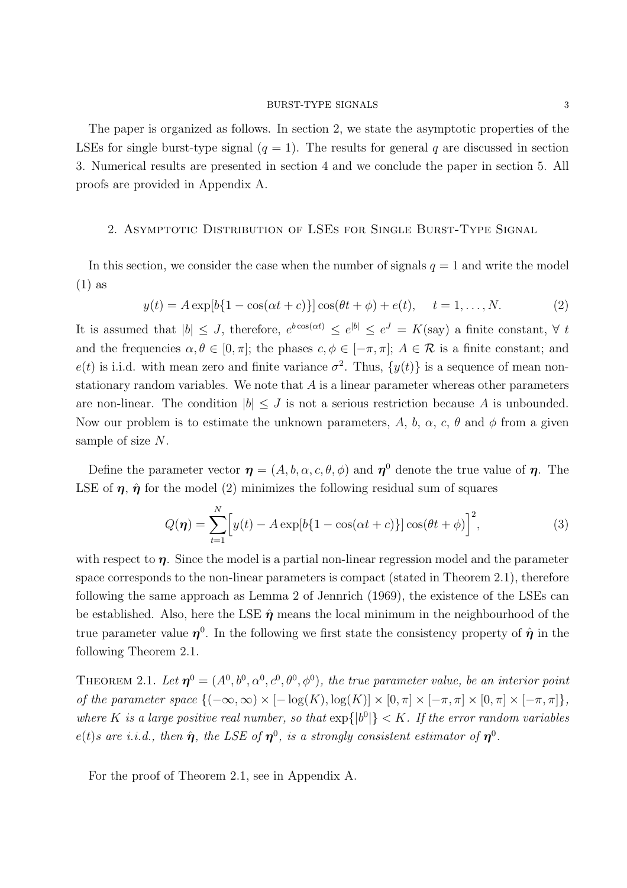The paper is organized as follows. In section 2, we state the asymptotic properties of the LSEs for single burst-type signal  $(q = 1)$ . The results for general q are discussed in section 3. Numerical results are presented in section 4 and we conclude the paper in section 5. All proofs are provided in Appendix A.

# 2. Asymptotic Distribution of LSEs for Single Burst-Type Signal

In this section, we consider the case when the number of signals  $q = 1$  and write the model (1) as

$$
y(t) = A \exp[b{1 - \cos(\alpha t + c)}] \cos(\theta t + \phi) + e(t), \quad t = 1, ..., N.
$$
 (2)

It is assumed that  $|b| \leq J$ , therefore,  $e^{b\cos(\alpha t)} \leq e^{|b|} \leq e^{J} = K(\text{say})$  a finite constant,  $\forall t$ and the frequencies  $\alpha, \theta \in [0, \pi]$ ; the phases  $c, \phi \in [-\pi, \pi]$ ;  $A \in \mathcal{R}$  is a finite constant; and  $e(t)$  is i.i.d. with mean zero and finite variance  $\sigma^2$ . Thus,  $\{y(t)\}\$ is a sequence of mean nonstationary random variables. We note that  $A$  is a linear parameter whereas other parameters are non-linear. The condition  $|b| \leq J$  is not a serious restriction because A is unbounded. Now our problem is to estimate the unknown parameters, A, b,  $\alpha$ , c,  $\theta$  and  $\phi$  from a given sample of size N.

Define the parameter vector  $\boldsymbol{\eta} = (A, b, \alpha, c, \theta, \phi)$  and  $\boldsymbol{\eta}^0$  denote the true value of  $\boldsymbol{\eta}$ . The LSE of  $\eta$ ,  $\hat{\eta}$  for the model (2) minimizes the following residual sum of squares

$$
Q(\boldsymbol{\eta}) = \sum_{t=1}^{N} \Big[ y(t) - A \exp[b\{1 - \cos(\alpha t + c)\}] \cos(\theta t + \phi) \Big]^2, \tag{3}
$$

with respect to  $\eta$ . Since the model is a partial non-linear regression model and the parameter space corresponds to the non-linear parameters is compact (stated in Theorem 2.1), therefore following the same approach as Lemma 2 of Jennrich (1969), the existence of the LSEs can be established. Also, here the LSE  $\hat{\eta}$  means the local minimum in the neighbourhood of the true parameter value  $\eta^0$ . In the following we first state the consistency property of  $\hat{\eta}$  in the following Theorem 2.1.

THEOREM 2.1. Let  $\boldsymbol{\eta}^0 = (A^0, b^0, \alpha^0, c^0, \theta^0, \phi^0)$ , the true parameter value, be an interior point of the parameter space  $\{(-\infty,\infty) \times [-\log(K),\log(K)] \times [0,\pi] \times [-\pi,\pi] \times [0,\pi] \times [-\pi,\pi]\},$ where K is a large positive real number, so that  $\exp\{|b^0|\} < K$ . If the error random variables  $e(t)$ s are i.i.d., then  $\hat{\boldsymbol{\eta}}$ , the LSE of  $\boldsymbol{\eta}^0$ , is a strongly consistent estimator of  $\boldsymbol{\eta}^0$ .

For the proof of Theorem 2.1, see in Appendix A.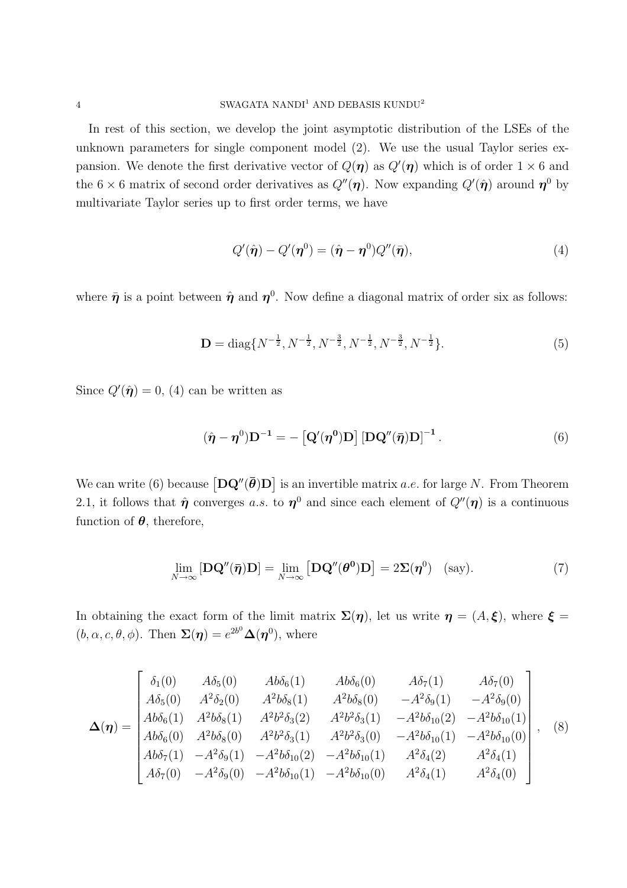In rest of this section, we develop the joint asymptotic distribution of the LSEs of the unknown parameters for single component model (2). We use the usual Taylor series expansion. We denote the first derivative vector of  $Q(\eta)$  as  $Q'(\eta)$  which is of order  $1 \times 6$  and the 6  $\times$  6 matrix of second order derivatives as  $Q''(\eta)$ . Now expanding  $Q'(\hat{\eta})$  around  $\eta^0$  by multivariate Taylor series up to first order terms, we have

$$
Q'(\hat{\boldsymbol{\eta}}) - Q'(\boldsymbol{\eta}^0) = (\hat{\boldsymbol{\eta}} - \boldsymbol{\eta}^0) Q''(\bar{\boldsymbol{\eta}}), \tag{4}
$$

where  $\bar{\pmb{\eta}}$  is a point between  $\hat{\pmb{\eta}}$  and  $\pmb{\eta}^0$ . Now define a diagonal matrix of order six as follows:

$$
\mathbf{D} = \text{diag}\{N^{-\frac{1}{2}}, N^{-\frac{1}{2}}, N^{-\frac{3}{2}}, N^{-\frac{1}{2}}, N^{-\frac{3}{2}}, N^{-\frac{1}{2}}\}.
$$
 (5)

Since  $Q'(\hat{\boldsymbol{\eta}})=0$ , (4) can be written as

$$
(\hat{\boldsymbol{\eta}} - \boldsymbol{\eta}^0) \mathbf{D}^{-1} = - \left[ \mathbf{Q}'(\boldsymbol{\eta}^0) \mathbf{D} \right] \left[ \mathbf{D} \mathbf{Q}''(\bar{\boldsymbol{\eta}}) \mathbf{D} \right]^{-1}.
$$
 (6)

We can write (6) because  $\left[\mathbf{D}\mathbf{Q}''(\bar{\boldsymbol{\theta}})\mathbf{D}\right]$  is an invertible matrix *a.e.* for large N. From Theorem 2.1, it follows that  $\hat{\eta}$  converges a.s. to  $\eta^0$  and since each element of  $Q''(\eta)$  is a continuous function of  $\theta$ , therefore,

$$
\lim_{N \to \infty} [\mathbf{D} \mathbf{Q}''(\bar{\pmb{\eta}}) \mathbf{D}] = \lim_{N \to \infty} [\mathbf{D} \mathbf{Q}''(\boldsymbol{\theta}^0) \mathbf{D}] = 2 \Sigma(\pmb{\eta}^0) \quad \text{(say)}.
$$
 (7)

In obtaining the exact form of the limit matrix  $\Sigma(\eta)$ , let us write  $\eta = (A, \xi)$ , where  $\xi =$  $(b, \alpha, c, \theta, \phi)$ . Then  $\Sigma(\eta) = e^{2b^0} \Delta(\eta^0)$ , where

$$
\Delta(\eta) = \begin{bmatrix}\n\delta_1(0) & A\delta_5(0) & Ab\delta_6(1) & Ab\delta_6(0) & A\delta_7(1) & A\delta_7(0) \\
A\delta_5(0) & A^2\delta_2(0) & A^2b\delta_8(1) & A^2b\delta_8(0) & -A^2\delta_9(1) & -A^2\delta_9(0) \\
Ab\delta_6(1) & A^2b\delta_8(1) & A^2b^2\delta_3(2) & A^2b^2\delta_3(1) & -A^2b\delta_{10}(2) & -A^2b\delta_{10}(1) \\
Ab\delta_6(0) & A^2b\delta_8(0) & A^2b^2\delta_3(1) & A^2b^2\delta_3(0) & -A^2b\delta_{10}(1) & -A^2b\delta_{10}(0) \\
Ab\delta_7(1) & -A^2\delta_9(1) & -A^2b\delta_{10}(2) & -A^2b\delta_{10}(1) & A^2\delta_4(2) & A^2\delta_4(1) \\
A\delta_7(0) & -A^2\delta_9(0) & -A^2b\delta_{10}(1) & -A^2b\delta_{10}(0) & A^2\delta_4(1) & A^2\delta_4(0)\n\end{bmatrix},
$$
\n(8)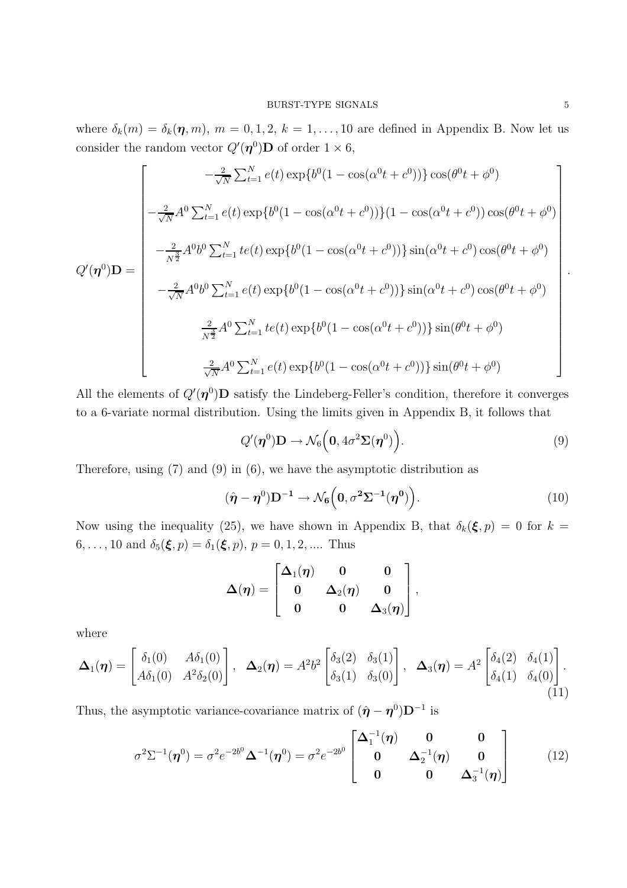where  $\delta_k(m) = \delta_k(\eta, m)$ ,  $m = 0, 1, 2, k = 1, \ldots, 10$  are defined in Appendix B. Now let us consider the random vector  $Q'(\eta^0)$ **D** of order  $1 \times 6$ ,

$$
Q'(\eta^{0})\mathbf{D} = \begin{bmatrix} -\frac{2}{\sqrt{N}}\sum_{t=1}^{N}e(t)\exp\{b^{0}(1-\cos(\alpha^{0}t+c^{0}))\}\cos(\theta^{0}t+\phi^{0}) \\ -\frac{2}{\sqrt{N}}A^{0}\sum_{t=1}^{N}e(t)\exp\{b^{0}(1-\cos(\alpha^{0}t+c^{0}))\}(1-\cos(\alpha^{0}t+c^{0}))\cos(\theta^{0}t+\phi^{0}) \\ -\frac{2}{N^{3}}A^{0}b^{0}\sum_{t=1}^{N}te(t)\exp\{b^{0}(1-\cos(\alpha^{0}t+c^{0}))\}\sin(\alpha^{0}t+c^{0})\cos(\theta^{0}t+\phi^{0}) \\ -\frac{2}{\sqrt{N}}A^{0}b^{0}\sum_{t=1}^{N}e(t)\exp\{b^{0}(1-\cos(\alpha^{0}t+c^{0}))\}\sin(\alpha^{0}t+c^{0})\cos(\theta^{0}t+\phi^{0}) \\ \frac{2}{N^{3}}A^{0}\sum_{t=1}^{N}te(t)\exp\{b^{0}(1-\cos(\alpha^{0}t+c^{0}))\}\sin(\theta^{0}t+\phi^{0}) \\ \frac{2}{\sqrt{N}}A^{0}\sum_{t=1}^{N}e(t)\exp\{b^{0}(1-\cos(\alpha^{0}t+c^{0}))\}\sin(\theta^{0}t+\phi^{0}) \end{bmatrix}.
$$

All the elements of  $Q'(\eta^0)$ D satisfy the Lindeberg-Feller's condition, therefore it converges to a 6-variate normal distribution. Using the limits given in Appendix B, it follows that

$$
Q'(\boldsymbol{\eta}^0)\mathbf{D} \to \mathcal{N}_6\Big(\mathbf{0}, 4\sigma^2 \mathbf{\Sigma}(\boldsymbol{\eta}^0)\Big). \tag{9}
$$

Therefore, using (7) and (9) in (6), we have the asymptotic distribution as

$$
(\hat{\boldsymbol{\eta}} - \boldsymbol{\eta}^0) \mathbf{D}^{-1} \to \mathcal{N}_6\left(\mathbf{0}, \sigma^2 \Sigma^{-1}(\boldsymbol{\eta}^0)\right). \tag{10}
$$

Now using the inequality (25), we have shown in Appendix B, that  $\delta_k(\xi, p) = 0$  for  $k =$ 6, ..., 10 and  $\delta_5(\xi, p) = \delta_1(\xi, p)$ ,  $p = 0, 1, 2, \dots$  Thus

$$
\boldsymbol{\Delta}(\boldsymbol{\eta}) = \begin{bmatrix} \boldsymbol{\Delta}_1(\boldsymbol{\eta}) & \boldsymbol{0} & \boldsymbol{0} \\ \boldsymbol{0} & \boldsymbol{\Delta}_2(\boldsymbol{\eta}) & \boldsymbol{0} \\ \boldsymbol{0} & \boldsymbol{0} & \boldsymbol{\Delta}_3(\boldsymbol{\eta}) \end{bmatrix},
$$

where

$$
\mathbf{\Delta}_1(\boldsymbol{\eta}) = \begin{bmatrix} \delta_1(0) & A\delta_1(0) \\ A\delta_1(0) & A^2\delta_2(0) \end{bmatrix}, \quad \mathbf{\Delta}_2(\boldsymbol{\eta}) = A^2 b^2 \begin{bmatrix} \delta_3(2) & \delta_3(1) \\ \delta_3(1) & \delta_3(0) \end{bmatrix}, \quad \mathbf{\Delta}_3(\boldsymbol{\eta}) = A^2 \begin{bmatrix} \delta_4(2) & \delta_4(1) \\ \delta_4(1) & \delta_4(0) \end{bmatrix}.
$$
\n(11)

Thus, the asymptotic variance-covariance matrix of  $(\hat{\boldsymbol{\eta}} - \boldsymbol{\eta}^0)\mathbf{D}^{-1}$  is

$$
\sigma^2 \Sigma^{-1}(\boldsymbol{\eta}^0) = \sigma^2 e^{-2b^0} \boldsymbol{\Delta}^{-1}(\boldsymbol{\eta}^0) = \sigma^2 e^{-2b^0} \begin{bmatrix} \boldsymbol{\Delta}_1^{-1}(\boldsymbol{\eta}) & \mathbf{0} & \mathbf{0} \\ \mathbf{0} & \boldsymbol{\Delta}_2^{-1}(\boldsymbol{\eta}) & \mathbf{0} \\ \mathbf{0} & \mathbf{0} & \boldsymbol{\Delta}_3^{-1}(\boldsymbol{\eta}) \end{bmatrix}
$$
(12)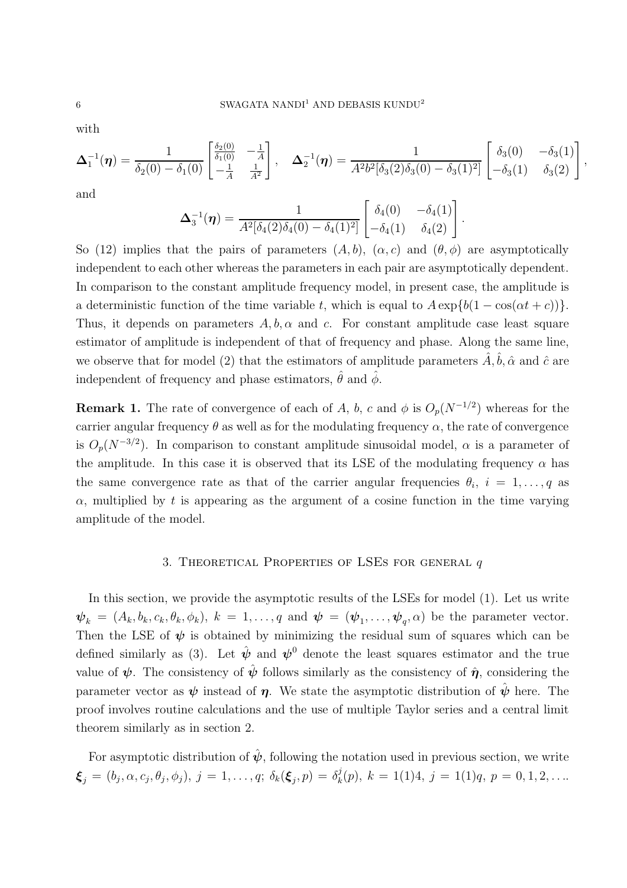with

$$
\Delta_1^{-1}(\boldsymbol{\eta}) = \frac{1}{\delta_2(0) - \delta_1(0)} \begin{bmatrix} \frac{\delta_2(0)}{\delta_1(0)} & -\frac{1}{A} \\ -\frac{1}{A} & \frac{1}{A^2} \end{bmatrix}, \quad \Delta_2^{-1}(\boldsymbol{\eta}) = \frac{1}{A^2 b^2 [\delta_3(2)\delta_3(0) - \delta_3(1)^2]} \begin{bmatrix} \delta_3(0) & -\delta_3(1) \\ -\delta_3(1) & \delta_3(2) \end{bmatrix}
$$

,

and

$$
\Delta_3^{-1}(\boldsymbol{\eta}) = \frac{1}{A^2[\delta_4(2)\delta_4(0) - \delta_4(1)^2]} \begin{bmatrix} \delta_4(0) & -\delta_4(1) \\ -\delta_4(1) & \delta_4(2) \end{bmatrix}.
$$

So (12) implies that the pairs of parameters  $(A, b)$ ,  $(\alpha, c)$  and  $(\theta, \phi)$  are asymptotically independent to each other whereas the parameters in each pair are asymptotically dependent. In comparison to the constant amplitude frequency model, in present case, the amplitude is a deterministic function of the time variable t, which is equal to  $A \exp\{b(1 - \cos(\alpha t + c))\}.$ Thus, it depends on parameters  $A, b, \alpha$  and c. For constant amplitude case least square estimator of amplitude is independent of that of frequency and phase. Along the same line, we observe that for model (2) that the estimators of amplitude parameters  $\hat{A}, \hat{b}, \hat{\alpha}$  and  $\hat{c}$  are independent of frequency and phase estimators,  $\hat{\theta}$  and  $\hat{\phi}$ .

**Remark 1.** The rate of convergence of each of A, b, c and  $\phi$  is  $O_p(N^{-1/2})$  whereas for the carrier angular frequency  $\theta$  as well as for the modulating frequency  $\alpha$ , the rate of convergence is  $O_p(N^{-3/2})$ . In comparison to constant amplitude sinusoidal model,  $\alpha$  is a parameter of the amplitude. In this case it is observed that its LSE of the modulating frequency  $\alpha$  has the same convergence rate as that of the carrier angular frequencies  $\theta_i$ ,  $i = 1, \ldots, q$  as  $\alpha$ , multiplied by t is appearing as the argument of a cosine function in the time varying amplitude of the model.

# 3. THEORETICAL PROPERTIES OF LSES FOR GENERAL  $q$

In this section, we provide the asymptotic results of the LSEs for model (1). Let us write  $\mathbf{\psi}_k = (A_k, b_k, c_k, \theta_k, \phi_k), k = 1, \ldots, q$  and  $\mathbf{\psi} = (\mathbf{\psi}_1, \ldots, \mathbf{\psi}_q, \alpha)$  be the parameter vector. Then the LSE of  $\psi$  is obtained by minimizing the residual sum of squares which can be defined similarly as (3). Let  $\hat{\psi}$  and  $\psi^0$  denote the least squares estimator and the true value of  $\psi$ . The consistency of  $\hat{\psi}$  follows similarly as the consistency of  $\hat{\eta}$ , considering the parameter vector as  $\psi$  instead of  $\eta$ . We state the asymptotic distribution of  $\hat{\psi}$  here. The proof involves routine calculations and the use of multiple Taylor series and a central limit theorem similarly as in section 2.

For asymptotic distribution of  $\hat{\psi}$ , following the notation used in previous section, we write  $\boldsymbol{\xi}_j \,=\, (b_j, \alpha, c_j, \theta_j, \phi_j),\ j = 1, \ldots, q;\ \delta_k(\boldsymbol{\xi}_j, p) \,=\, \delta_k^j$  $k<sub>k</sub>(p), k = 1(1)4, j = 1(1)q, p = 0, 1, 2, \ldots$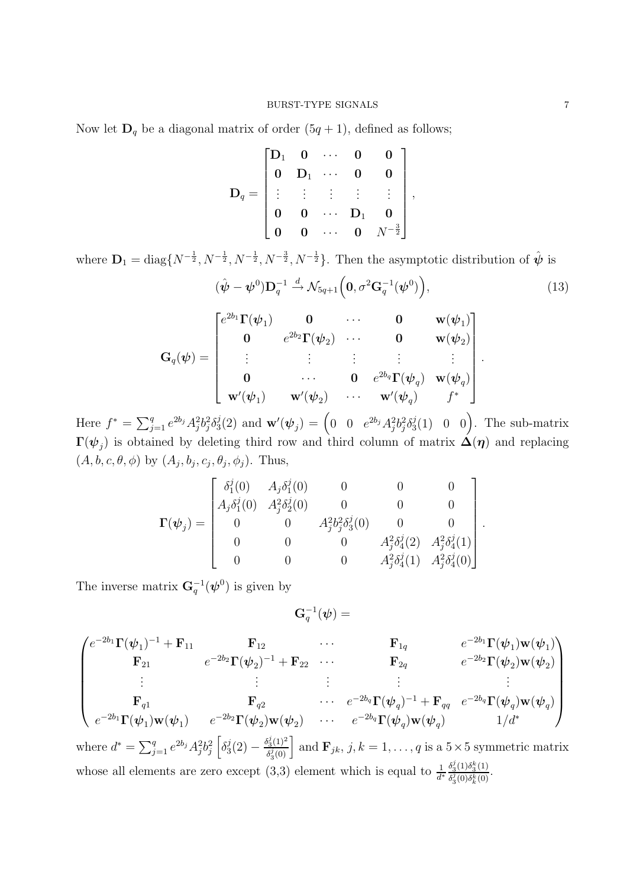Now let  $\mathbf{D}_q$  be a diagonal matrix of order  $(5q + 1)$ , defined as follows;

$$
\mathbf{D}_q = \begin{bmatrix} \mathbf{D}_1 & \mathbf{0} & \cdots & \mathbf{0} & \mathbf{0} \\ \mathbf{0} & \mathbf{D}_1 & \cdots & \mathbf{0} & \mathbf{0} \\ \vdots & \vdots & \vdots & \vdots & \vdots \\ \mathbf{0} & \mathbf{0} & \cdots & \mathbf{D}_1 & \mathbf{0} \\ \mathbf{0} & \mathbf{0} & \cdots & \mathbf{0} & N^{-\frac{3}{2}} \end{bmatrix},
$$

where  $\mathbf{D}_1 = \text{diag}\{N^{-\frac{1}{2}}, N^{-\frac{1}{2}}, N^{-\frac{1}{2}}, N^{-\frac{1}{2}}\}$ . Then the asymptotic distribution of  $\hat{\psi}$  is

$$
(\hat{\boldsymbol{\psi}} - \boldsymbol{\psi}^0) \mathbf{D}_q^{-1} \stackrel{d}{\rightarrow} \mathcal{N}_{5q+1} \left( \mathbf{0}, \sigma^2 \mathbf{G}_q^{-1} (\boldsymbol{\psi}^0) \right), \tag{13}
$$

.

$$
\mathbf{G}_q(\boldsymbol{\psi}) = \begin{bmatrix} e^{2b_1} \boldsymbol{\Gamma}(\boldsymbol{\psi}_1) & \mathbf{0} & \cdots & \mathbf{0} & \mathbf{w}(\boldsymbol{\psi}_1) \\ \mathbf{0} & e^{2b_2} \boldsymbol{\Gamma}(\boldsymbol{\psi}_2) & \cdots & \mathbf{0} & \mathbf{w}(\boldsymbol{\psi}_2) \\ \vdots & \vdots & \vdots & \vdots & \vdots \\ \mathbf{0} & \cdots & \mathbf{0} & e^{2b_q} \boldsymbol{\Gamma}(\boldsymbol{\psi}_q) & \mathbf{w}(\boldsymbol{\psi}_q) \\ \mathbf{w}'(\boldsymbol{\psi}_1) & \mathbf{w}'(\boldsymbol{\psi}_2) & \cdots & \mathbf{w}'(\boldsymbol{\psi}_q) & f^* \end{bmatrix}.
$$

Here  $f^* = \sum_{j=1}^q e^{2b_j} A_j^2 b_j^2 \delta_3^j$  $\mathbf{S}^{j}(2) \, \, \text{and} \, \, \mathbf{w}'(\boldsymbol{\psi}_j) \, = \, \Big( 0 \, \, \, \, 0 \, \, \, \, e^{2b_j} A_j^2 b_j^2 \delta_3^j \Big)$  $\begin{pmatrix} j(1) & 0 & 0 \end{pmatrix}$ . The sub-matrix  $\Gamma(\bm{\psi}_j)$  is obtained by deleting third row and third column of matrix  $\bm{\Delta}(\bm{\eta})$  and replacing  $(A, b, c, \theta, \phi)$  by  $(A_j, b_j, c_j, \theta_j, \phi_j)$ . Thus,

$$
\mathbf{\Gamma}(\boldsymbol{\psi}_j) = \begin{bmatrix} \delta_1^j(0) & A_j \delta_1^j(0) & 0 & 0 & 0 \\ A_j \delta_1^j(0) & A_j^2 \delta_2^j(0) & 0 & 0 & 0 \\ 0 & 0 & A_j^2 b_j^2 \delta_3^j(0) & 0 & 0 \\ 0 & 0 & 0 & A_j^2 \delta_4^j(2) & A_j^2 \delta_4^j(1) \\ 0 & 0 & 0 & A_j^2 \delta_4^j(1) & A_j^2 \delta_4^j(0) \end{bmatrix}
$$

The inverse matrix  $\mathbf{G}_q^{-1}(\boldsymbol{\psi}^0)$  is given by

$$
\mathbf{G}^{-1}_{q} ( \boldsymbol{\psi} ) =
$$

$$
\begin{pmatrix}\ne^{-2b_1}\Gamma(\psi_1)^{-1} + \mathbf{F}_{11} & \mathbf{F}_{12} & \cdots & \mathbf{F}_{1q} & e^{-2b_1}\Gamma(\psi_1)\mathbf{w}(\psi_1) \\
\mathbf{F}_{21} & e^{-2b_2}\Gamma(\psi_2)^{-1} + \mathbf{F}_{22} & \cdots & \mathbf{F}_{2q} & e^{-2b_2}\Gamma(\psi_2)\mathbf{w}(\psi_2) \\
\vdots & \vdots & \vdots & \vdots & \vdots \\
\mathbf{F}_{q1} & \mathbf{F}_{q2} & \cdots & e^{-2b_q}\Gamma(\psi_q)^{-1} + \mathbf{F}_{qq} & e^{-2b_q}\Gamma(\psi_q)\mathbf{w}(\psi_q) \\
e^{-2b_1}\Gamma(\psi_1)\mathbf{w}(\psi_1) & e^{-2b_2}\Gamma(\psi_2)\mathbf{w}(\psi_2) & \cdots & e^{-2b_q}\Gamma(\psi_q)\mathbf{w}(\psi_q) & 1/d^* \\
\text{where } d^* = \sum_{j=1}^q e^{2b_j} A_j^2 b_j^2 \left[\delta_3^j(2) - \frac{\delta_3^j(1)^2}{\delta_3^j(0)}\right] \text{ and } \mathbf{F}_{jk}, j, k = 1, \dots, q \text{ is a } 5 \times 5 \text{ symmetric matrix} \\
\text{whose all elements are zero except (3,3) element which is equal to } \frac{1}{d^*} \frac{\delta_3^j(1)\delta_3^k(1)}{\delta_3^j(0)\delta_k^k(0)}.
$$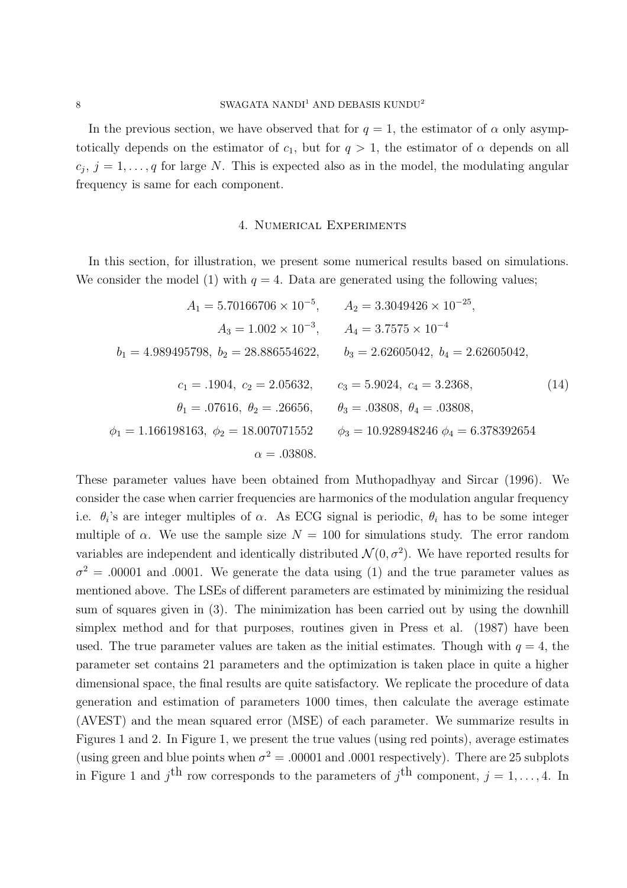In the previous section, we have observed that for  $q = 1$ , the estimator of  $\alpha$  only asymptotically depends on the estimator of  $c_1$ , but for  $q > 1$ , the estimator of  $\alpha$  depends on all  $c_j$ ,  $j = 1, \ldots, q$  for large N. This is expected also as in the model, the modulating angular frequency is same for each component.

### 4. Numerical Experiments

In this section, for illustration, we present some numerical results based on simulations. We consider the model (1) with  $q = 4$ . Data are generated using the following values;

$$
A_1 = 5.70166706 \times 10^{-5}, \qquad A_2 = 3.3049426 \times 10^{-25},
$$
  
\n
$$
A_3 = 1.002 \times 10^{-3}, \qquad A_4 = 3.7575 \times 10^{-4}
$$
  
\n
$$
b_1 = 4.989495798, \ b_2 = 28.886554622, \qquad b_3 = 2.62605042, \ b_4 = 2.62605042,
$$
  
\n
$$
c_1 = .1904, \ c_2 = 2.05632, \qquad c_3 = 5.9024, \ c_4 = 3.2368,
$$
  
\n
$$
\theta_1 = .07616, \ \theta_2 = .26656, \qquad \theta_3 = .03808, \ \theta_4 = .03808,
$$
  
\n
$$
\phi_1 = 1.166198163, \ \phi_2 = 18.007071552 \qquad \phi_3 = 10.928948246 \ \phi_4 = 6.378392654
$$
  
\n
$$
\alpha = .03808.
$$
  
\n(14)

These parameter values have been obtained from Muthopadhyay and Sircar (1996). We consider the case when carrier frequencies are harmonics of the modulation angular frequency i.e.  $\theta_i$ 's are integer multiples of  $\alpha$ . As ECG signal is periodic,  $\theta_i$  has to be some integer multiple of  $\alpha$ . We use the sample size  $N = 100$  for simulations study. The error random variables are independent and identically distributed  $\mathcal{N}(0, \sigma^2)$ . We have reported results for  $\sigma^2 = 0.00001$  and 0001. We generate the data using (1) and the true parameter values as mentioned above. The LSEs of different parameters are estimated by minimizing the residual sum of squares given in (3). The minimization has been carried out by using the downhill simplex method and for that purposes, routines given in Press et al. (1987) have been used. The true parameter values are taken as the initial estimates. Though with  $q = 4$ , the parameter set contains 21 parameters and the optimization is taken place in quite a higher dimensional space, the final results are quite satisfactory. We replicate the procedure of data generation and estimation of parameters 1000 times, then calculate the average estimate (AVEST) and the mean squared error (MSE) of each parameter. We summarize results in Figures 1 and 2. In Figure 1, we present the true values (using red points), average estimates (using green and blue points when  $\sigma^2 = .00001$  and .0001 respectively). There are 25 subplots in Figure 1 and  $j<sup>th</sup>$  row corresponds to the parameters of  $j<sup>th</sup>$  component,  $j = 1, ..., 4$ . In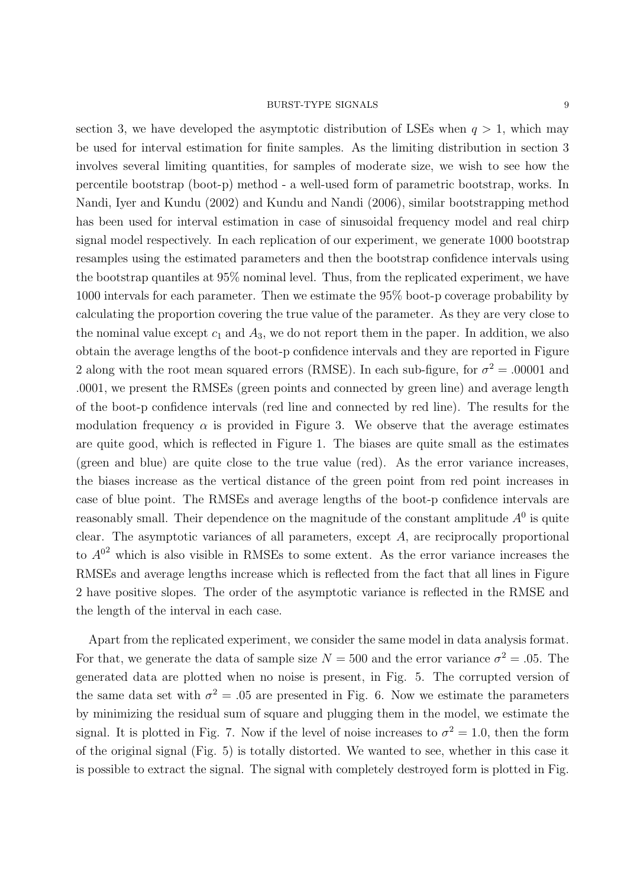section 3, we have developed the asymptotic distribution of LSEs when  $q > 1$ , which may be used for interval estimation for finite samples. As the limiting distribution in section 3 involves several limiting quantities, for samples of moderate size, we wish to see how the percentile bootstrap (boot-p) method - a well-used form of parametric bootstrap, works. In Nandi, Iyer and Kundu (2002) and Kundu and Nandi (2006), similar bootstrapping method has been used for interval estimation in case of sinusoidal frequency model and real chirp signal model respectively. In each replication of our experiment, we generate 1000 bootstrap resamples using the estimated parameters and then the bootstrap confidence intervals using the bootstrap quantiles at 95% nominal level. Thus, from the replicated experiment, we have 1000 intervals for each parameter. Then we estimate the 95% boot-p coverage probability by calculating the proportion covering the true value of the parameter. As they are very close to the nominal value except  $c_1$  and  $A_3$ , we do not report them in the paper. In addition, we also obtain the average lengths of the boot-p confidence intervals and they are reported in Figure 2 along with the root mean squared errors (RMSE). In each sub-figure, for  $\sigma^2 = .00001$  and .0001, we present the RMSEs (green points and connected by green line) and average length of the boot-p confidence intervals (red line and connected by red line). The results for the modulation frequency  $\alpha$  is provided in Figure 3. We observe that the average estimates are quite good, which is reflected in Figure 1. The biases are quite small as the estimates (green and blue) are quite close to the true value (red). As the error variance increases, the biases increase as the vertical distance of the green point from red point increases in case of blue point. The RMSEs and average lengths of the boot-p confidence intervals are reasonably small. Their dependence on the magnitude of the constant amplitude  $A^0$  is quite clear. The asymptotic variances of all parameters, except A, are reciprocally proportional to  $A^{0^2}$  which is also visible in RMSEs to some extent. As the error variance increases the RMSEs and average lengths increase which is reflected from the fact that all lines in Figure 2 have positive slopes. The order of the asymptotic variance is reflected in the RMSE and the length of the interval in each case.

Apart from the replicated experiment, we consider the same model in data analysis format. For that, we generate the data of sample size  $N = 500$  and the error variance  $\sigma^2 = .05$ . The generated data are plotted when no noise is present, in Fig. 5. The corrupted version of the same data set with  $\sigma^2 = 0.05$  are presented in Fig. 6. Now we estimate the parameters by minimizing the residual sum of square and plugging them in the model, we estimate the signal. It is plotted in Fig. 7. Now if the level of noise increases to  $\sigma^2 = 1.0$ , then the form of the original signal (Fig. 5) is totally distorted. We wanted to see, whether in this case it is possible to extract the signal. The signal with completely destroyed form is plotted in Fig.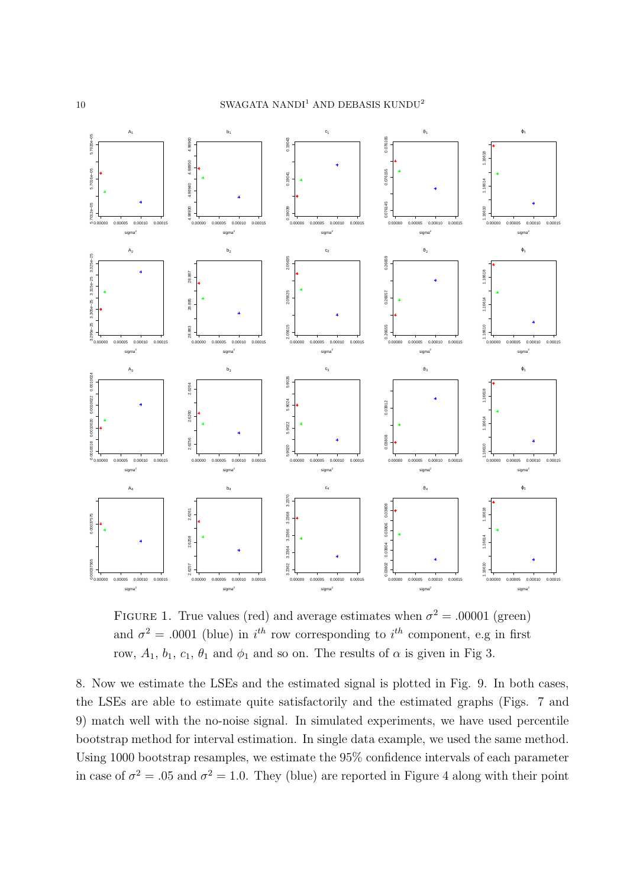### 10 SWAGATA NANDI $^1$  AND DEBASIS  $\rm KUNDU^2$



FIGURE 1. True values (red) and average estimates when  $\sigma^2 = .00001$  (green) and  $\sigma^2 = .0001$  (blue) in  $i^{th}$  row corresponding to  $i^{th}$  component, e.g in first row,  $A_1$ ,  $b_1$ ,  $c_1$ ,  $\theta_1$  and  $\phi_1$  and so on. The results of  $\alpha$  is given in Fig 3.

8. Now we estimate the LSEs and the estimated signal is plotted in Fig. 9. In both cases, the LSEs are able to estimate quite satisfactorily and the estimated graphs (Figs. 7 and 9) match well with the no-noise signal. In simulated experiments, we have used percentile bootstrap method for interval estimation. In single data example, we used the same method. Using 1000 bootstrap resamples, we estimate the 95% confidence intervals of each parameter in case of  $\sigma^2 = 0.05$  and  $\sigma^2 = 1.0$ . They (blue) are reported in Figure 4 along with their point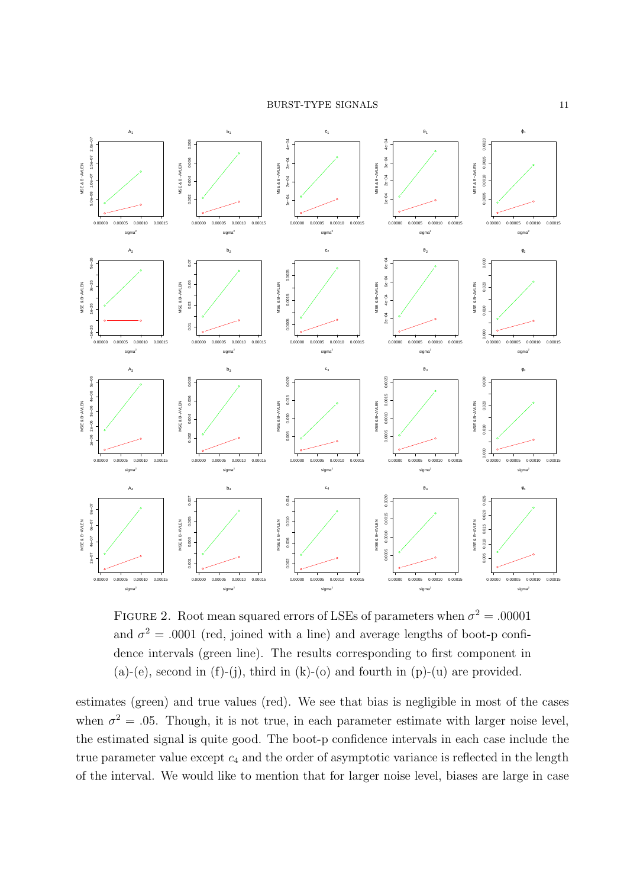

FIGURE 2. Root mean squared errors of LSEs of parameters when  $\sigma^2 = .00001$ and  $\sigma^2 = .0001$  (red, joined with a line) and average lengths of boot-p confidence intervals (green line). The results corresponding to first component in  $(a)-(e)$ , second in  $(f)-(j)$ , third in  $(k)-(o)$  and fourth in  $(p)-(u)$  are provided.

estimates (green) and true values (red). We see that bias is negligible in most of the cases when  $\sigma^2 = 0.05$ . Though, it is not true, in each parameter estimate with larger noise level, the estimated signal is quite good. The boot-p confidence intervals in each case include the true parameter value except  $c_4$  and the order of asymptotic variance is reflected in the length of the interval. We would like to mention that for larger noise level, biases are large in case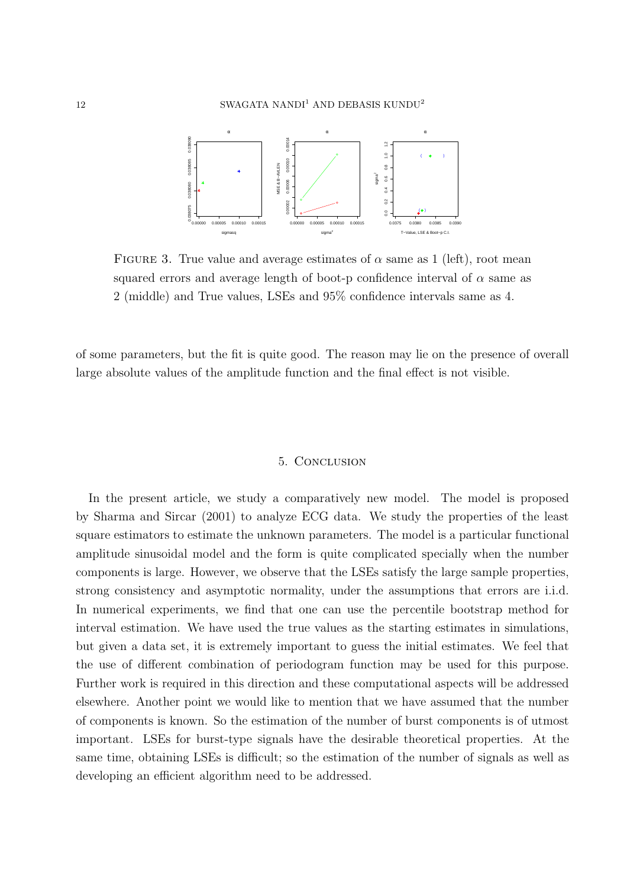

FIGURE 3. True value and average estimates of  $\alpha$  same as 1 (left), root mean squared errors and average length of boot-p confidence interval of  $\alpha$  same as 2 (middle) and True values, LSEs and 95% confidence intervals same as 4.

of some parameters, but the fit is quite good. The reason may lie on the presence of overall large absolute values of the amplitude function and the final effect is not visible.

### 5. Conclusion

In the present article, we study a comparatively new model. The model is proposed by Sharma and Sircar (2001) to analyze ECG data. We study the properties of the least square estimators to estimate the unknown parameters. The model is a particular functional amplitude sinusoidal model and the form is quite complicated specially when the number components is large. However, we observe that the LSEs satisfy the large sample properties, strong consistency and asymptotic normality, under the assumptions that errors are i.i.d. In numerical experiments, we find that one can use the percentile bootstrap method for interval estimation. We have used the true values as the starting estimates in simulations, but given a data set, it is extremely important to guess the initial estimates. We feel that the use of different combination of periodogram function may be used for this purpose. Further work is required in this direction and these computational aspects will be addressed elsewhere. Another point we would like to mention that we have assumed that the number of components is known. So the estimation of the number of burst components is of utmost important. LSEs for burst-type signals have the desirable theoretical properties. At the same time, obtaining LSEs is difficult; so the estimation of the number of signals as well as developing an efficient algorithm need to be addressed.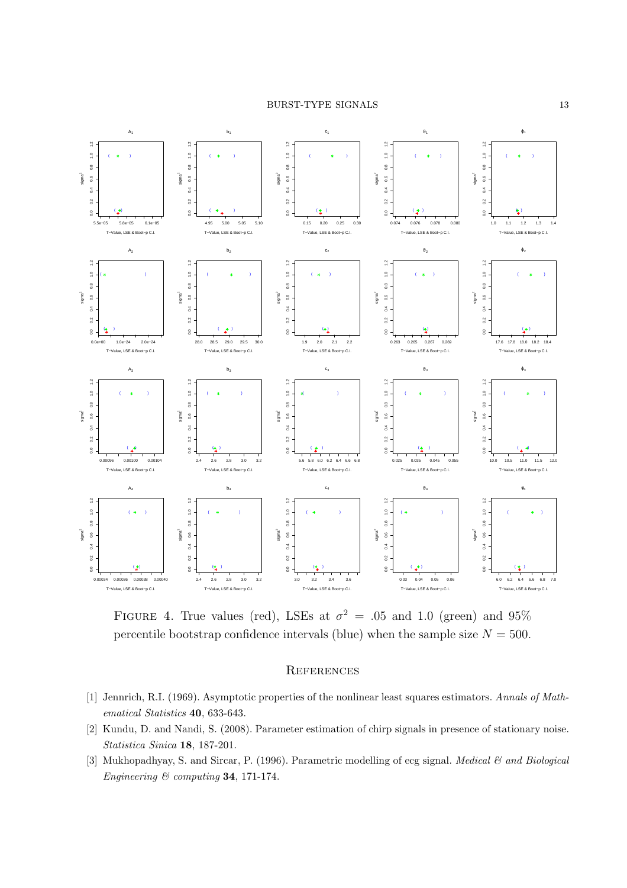

FIGURE 4. True values (red), LSEs at  $\sigma^2 = .05$  and 1.0 (green) and 95% percentile bootstrap confidence intervals (blue) when the sample size  $N = 500$ .

# **REFERENCES**

- [1] Jennrich, R.I. (1969). Asymptotic properties of the nonlinear least squares estimators. Annals of Mathematical Statistics 40, 633-643.
- [2] Kundu, D. and Nandi, S. (2008). Parameter estimation of chirp signals in presence of stationary noise. Statistica Sinica 18, 187-201.
- [3] Mukhopadhyay, S. and Sircar, P. (1996). Parametric modelling of ecg signal. Medical  $\mathcal{C}$  and Biological Engineering & computing 34, 171-174.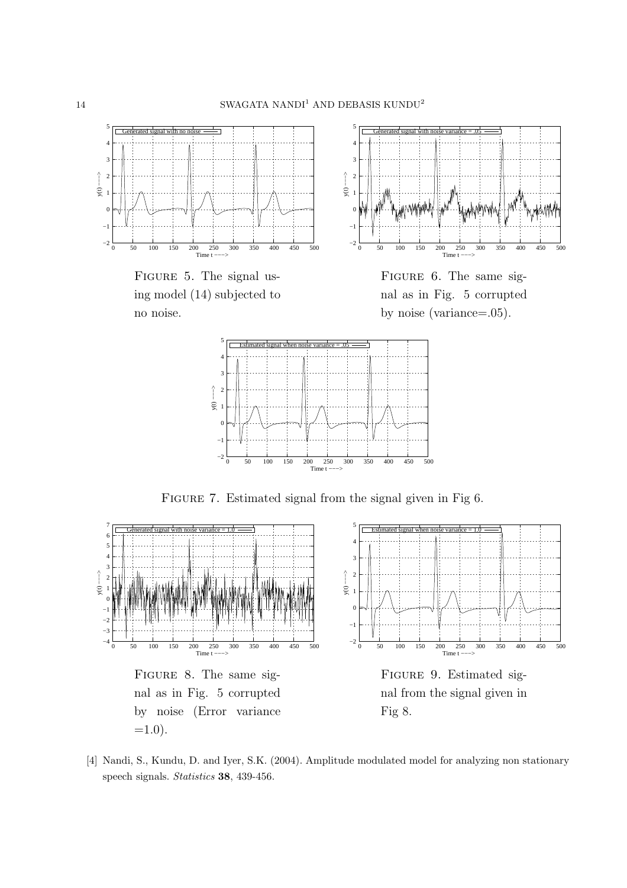

FIGURE 5. The signal using model (14) subjected to no noise.



FIGURE 6. The same signal as in Fig. 5 corrupted by noise (variance=.05).



FIGURE 7. Estimated signal from the signal given in Fig 6.



[4] Nandi, S., Kundu, D. and Iyer, S.K. (2004). Amplitude modulated model for analyzing non stationary speech signals. Statistics 38, 439-456.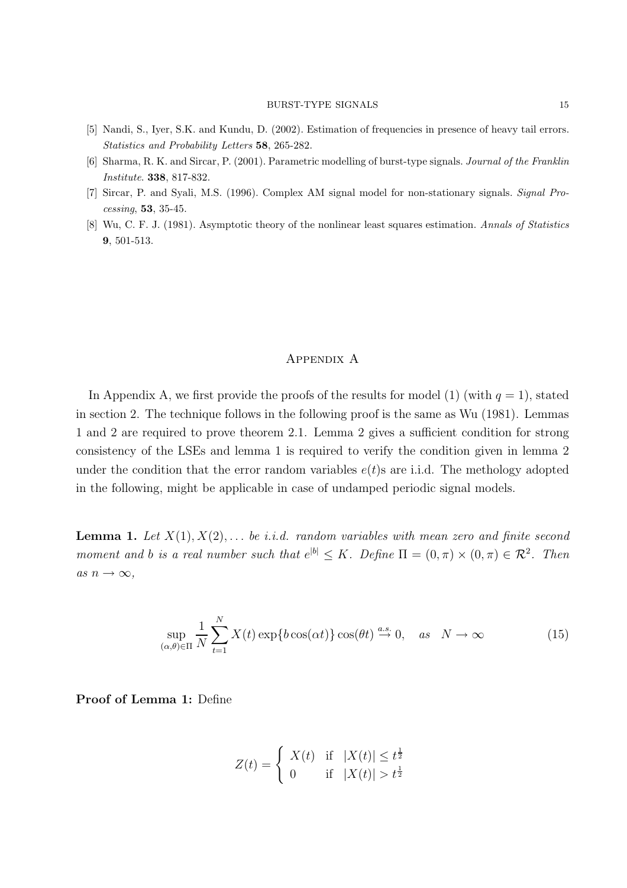- [5] Nandi, S., Iyer, S.K. and Kundu, D. (2002). Estimation of frequencies in presence of heavy tail errors. Statistics and Probability Letters 58, 265-282.
- [6] Sharma, R. K. and Sircar, P. (2001). Parametric modelling of burst-type signals. Journal of the Franklin Institute. 338, 817-832.
- [7] Sircar, P. and Syali, M.S. (1996). Complex AM signal model for non-stationary signals. Signal Processing, 53, 35-45.
- [8] Wu, C. F. J. (1981). Asymptotic theory of the nonlinear least squares estimation. Annals of Statistics 9, 501-513.

### Appendix A

In Appendix A, we first provide the proofs of the results for model (1) (with  $q = 1$ ), stated in section 2. The technique follows in the following proof is the same as Wu (1981). Lemmas 1 and 2 are required to prove theorem 2.1. Lemma 2 gives a sufficient condition for strong consistency of the LSEs and lemma 1 is required to verify the condition given in lemma 2 under the condition that the error random variables  $e(t)$ s are i.i.d. The methology adopted in the following, might be applicable in case of undamped periodic signal models.

**Lemma 1.** Let  $X(1), X(2), \ldots$  be i.i.d. random variables with mean zero and finite second moment and b is a real number such that  $e^{|b|} \leq K$ . Define  $\Pi = (0, \pi) \times (0, \pi) \in \mathcal{R}^2$ . Then as  $n \to \infty$ ,

$$
\sup_{(\alpha,\theta)\in\Pi} \frac{1}{N} \sum_{t=1}^{N} X(t) \exp\{b\cos(\alpha t)\} \cos(\theta t) \stackrel{a.s.}{\to} 0, \quad as \quad N \to \infty
$$
 (15)

Proof of Lemma 1: Define

$$
Z(t) = \begin{cases} X(t) & \text{if } |X(t)| \le t^{\frac{1}{2}} \\ 0 & \text{if } |X(t)| > t^{\frac{1}{2}} \end{cases}
$$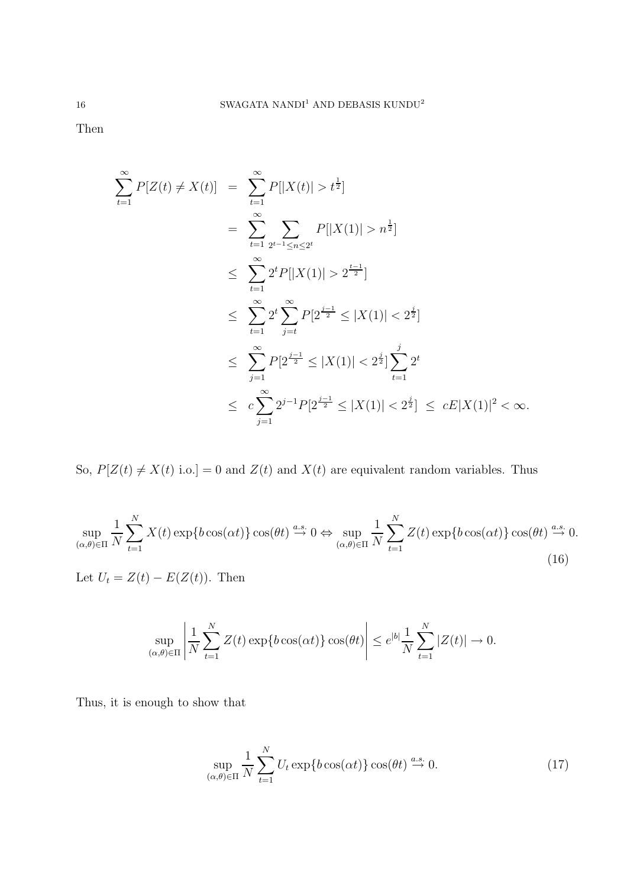Then

$$
\sum_{t=1}^{\infty} P[Z(t) \neq X(t)] = \sum_{t=1}^{\infty} P[|X(t)| > t^{\frac{1}{2}}]
$$
  
\n
$$
= \sum_{t=1}^{\infty} \sum_{2^{t-1} \leq n \leq 2^{t}} P[|X(1)| > n^{\frac{1}{2}}]
$$
  
\n
$$
\leq \sum_{t=1}^{\infty} 2^{t} P[|X(1)| > 2^{\frac{t-1}{2}}]
$$
  
\n
$$
\leq \sum_{t=1}^{\infty} 2^{t} \sum_{j=t}^{\infty} P[2^{\frac{j-1}{2}} \leq |X(1)| < 2^{\frac{j}{2}}]
$$
  
\n
$$
\leq \sum_{j=1}^{\infty} P[2^{\frac{j-1}{2}} \leq |X(1)| < 2^{\frac{j}{2}}] \sum_{t=1}^{j} 2^{t}
$$
  
\n
$$
\leq c \sum_{j=1}^{\infty} 2^{j-1} P[2^{\frac{j-1}{2}} \leq |X(1)| < 2^{\frac{j}{2}}] \leq cE|X(1)|^2 < \infty.
$$

So,  $P[Z(t) \neq X(t) \text{ i.o.}] = 0$  and  $Z(t)$  and  $X(t)$  are equivalent random variables. Thus

$$
\sup_{(\alpha,\theta)\in\Pi} \frac{1}{N} \sum_{t=1}^{N} X(t) \exp\{b\cos(\alpha t)\} \cos(\theta t) \stackrel{a.s.}{\rightarrow} 0 \Leftrightarrow \sup_{(\alpha,\theta)\in\Pi} \frac{1}{N} \sum_{t=1}^{N} Z(t) \exp\{b\cos(\alpha t)\} \cos(\theta t) \stackrel{a.s.}{\rightarrow} 0.
$$
\nLet  $U_t = Z(t) - E(Z(t))$ . Then (16)

$$
\sup_{(\alpha,\theta)\in\Pi}\left|\frac{1}{N}\sum_{t=1}^N Z(t)\exp\{b\cos(\alpha t)\}\cos(\theta t)\right|\leq e^{|b|}\frac{1}{N}\sum_{t=1}^N|Z(t)|\to 0.
$$

Thus, it is enough to show that

$$
\sup_{(\alpha,\theta)\in\Pi} \frac{1}{N} \sum_{t=1}^{N} U_t \exp\{b\cos(\alpha t)\} \cos(\theta t) \stackrel{a.s.}{\to} 0. \tag{17}
$$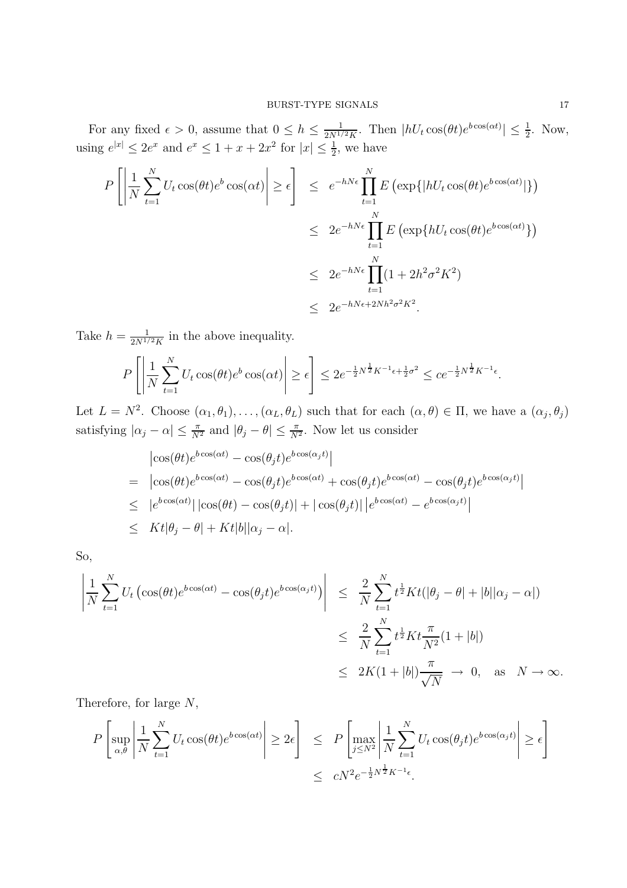For any fixed  $\epsilon > 0$ , assume that  $0 \le h \le \frac{1}{2N^{1/2}K}$ . Then  $|hU_t \cos(\theta t)e^{b\cos(\alpha t)}| \le \frac{1}{2}$ . Now, using  $e^{|x|} \leq 2e^x$  and  $e^x \leq 1 + x + 2x^2$  for  $|x| \leq \frac{1}{2}$ , we have

$$
P\left[\left|\frac{1}{N}\sum_{t=1}^{N}U_t\cos(\theta t)e^b\cos(\alpha t)\right|\geq \epsilon\right] \leq e^{-hN\epsilon}\prod_{t=1}^{N}E\left(\exp\{|hU_t\cos(\theta t)e^{b\cos(\alpha t)}|\}\right)
$$
  

$$
\leq 2e^{-hN\epsilon}\prod_{t=1}^{N}E\left(\exp\{hU_t\cos(\theta t)e^{b\cos(\alpha t)}\}\right)
$$
  

$$
\leq 2e^{-hN\epsilon}\prod_{t=1}^{N}(1+2h^2\sigma^2K^2)
$$
  

$$
\leq 2e^{-hN\epsilon+2Nh^2\sigma^2K^2}.
$$

Take  $h = \frac{1}{2N^{1/2}K}$  in the above inequality.

$$
P\left[\left|\frac{1}{N}\sum_{t=1}^N U_t \cos(\theta t) e^b \cos(\alpha t)\right| \ge \epsilon\right] \le 2e^{-\frac{1}{2}N^{\frac{1}{2}}K^{-1}\epsilon + \frac{1}{2}\sigma^2} \le ce^{-\frac{1}{2}N^{\frac{1}{2}}K^{-1}\epsilon}.
$$

Let  $L = N^2$ . Choose  $(\alpha_1, \theta_1), \ldots, (\alpha_L, \theta_L)$  such that for each  $(\alpha, \theta) \in \Pi$ , we have a  $(\alpha_j, \theta_j)$ satisfying  $|\alpha_j - \alpha| \leq \frac{\pi}{N^2}$  and  $|\theta_j - \theta| \leq \frac{\pi}{N^2}$ . Now let us consider

$$
\begin{split}\n&|\cos(\theta t)e^{b\cos(\alpha t)} - \cos(\theta_j t)e^{b\cos(\alpha_j t)}| \\
&= |\cos(\theta t)e^{b\cos(\alpha t)} - \cos(\theta_j t)e^{b\cos(\alpha t)} + \cos(\theta_j t)e^{b\cos(\alpha t)} - \cos(\theta_j t)e^{b\cos(\alpha_j t)}| \\
&\leq |e^{b\cos(\alpha t)}| |\cos(\theta t) - \cos(\theta_j t)| + |\cos(\theta_j t)| |e^{b\cos(\alpha t)} - e^{b\cos(\alpha_j t)}| \\
&\leq Kt|\theta_j - \theta| + Kt|b||\alpha_j - \alpha|\n\end{split}
$$

So,

$$
\left| \frac{1}{N} \sum_{t=1}^{N} U_t \left( \cos(\theta t) e^{b \cos(\alpha t)} - \cos(\theta_j t) e^{b \cos(\alpha_j t)} \right) \right| \leq \frac{2}{N} \sum_{t=1}^{N} t^{\frac{1}{2}} K t (\vert \theta_j - \theta \vert + \vert b \vert \vert \alpha_j - \alpha \vert)
$$
  

$$
\leq \frac{2}{N} \sum_{t=1}^{N} t^{\frac{1}{2}} K t \frac{\pi}{N^2} (1 + \vert b \vert)
$$
  

$$
\leq 2K (1 + \vert b \vert) \frac{\pi}{\sqrt{N}} \to 0, \text{ as } N \to \infty.
$$

Therefore, for large N,

$$
P\left[\sup_{\alpha,\theta} \left| \frac{1}{N} \sum_{t=1}^{N} U_t \cos(\theta t) e^{b \cos(\alpha t)} \right| \ge 2\epsilon \right] \le P\left[\max_{j \le N^2} \left| \frac{1}{N} \sum_{t=1}^{N} U_t \cos(\theta_j t) e^{b \cos(\alpha_j t)} \right| \ge \epsilon \right]
$$
  

$$
\le C N^2 e^{-\frac{1}{2} N^{\frac{1}{2}} K^{-1} \epsilon}.
$$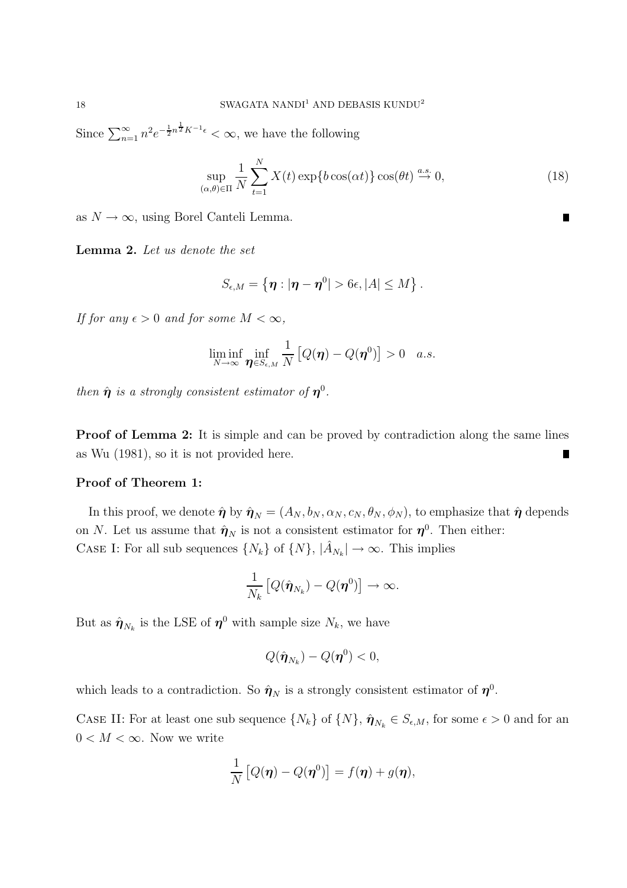Since  $\sum_{n=1}^{\infty} n^2 e^{-\frac{1}{2}n^{\frac{1}{2}}K^{-1}\epsilon} < \infty$ , we have the following

$$
\sup_{(\alpha,\theta)\in\Pi} \frac{1}{N} \sum_{t=1}^{N} X(t) \exp\{b\cos(\alpha t)\} \cos(\theta t) \stackrel{a.s.}{\to} 0,
$$
\n(18)

as  $N \to \infty$ , using Borel Canteli Lemma.

Lemma 2. Let us denote the set

$$
S_{\epsilon,M}=\left\{ \boldsymbol{\eta} : |\boldsymbol{\eta}-\boldsymbol{\eta}^0|>6\epsilon, |A|\leq M \right\}.
$$

If for any  $\epsilon > 0$  and for some  $M < \infty$ ,

$$
\liminf_{N\to\infty}\inf_{\boldsymbol{\eta}\in S_{\epsilon,M}}\frac{1}{N}\left[Q(\boldsymbol{\eta})-Q(\boldsymbol{\eta}^0)\right]>0\quad a.s.
$$

then  $\hat{\boldsymbol{\eta}}$  is a strongly consistent estimator of  $\boldsymbol{\eta}^0$ .

**Proof of Lemma 2:** It is simple and can be proved by contradiction along the same lines as Wu (1981), so it is not provided here. П

### Proof of Theorem 1:

In this proof, we denote  $\hat{\eta}$  by  $\hat{\eta}_N = (A_N, b_N, \alpha_N, c_N, \theta_N, \phi_N)$ , to emphasize that  $\hat{\eta}$  depends on N. Let us assume that  $\hat{\eta}_N$  is not a consistent estimator for  $\eta^0$ . Then either: CASE I: For all sub sequences  $\{N_k\}$  of  $\{N\}, |\hat{A}_{N_k}| \to \infty$ . This implies

$$
\frac{1}{N_k}\left[Q(\hat{\boldsymbol{\eta}}_{N_k})-Q(\boldsymbol{\eta}^0)\right]\to\infty.
$$

But as  $\hat{\eta}_{N_k}$  is the LSE of  $\eta^0$  with sample size  $N_k$ , we have

$$
Q(\hat{\boldsymbol{\eta}}_{N_k})-Q(\boldsymbol{\eta}^0)<0,
$$

which leads to a contradiction. So  $\hat{\eta}_N$  is a strongly consistent estimator of  $\eta^0$ .

CASE II: For at least one sub sequence  $\{N_k\}$  of  $\{N\}, \hat{\pmb{\eta}}_{N_k} \in S_{\epsilon,M}$ , for some  $\epsilon > 0$  and for an  $0 < M < \infty$ . Now we write

$$
\frac{1}{N}\left[Q(\boldsymbol{\eta})-Q(\boldsymbol{\eta}^0)\right] = f(\boldsymbol{\eta}) + g(\boldsymbol{\eta}),
$$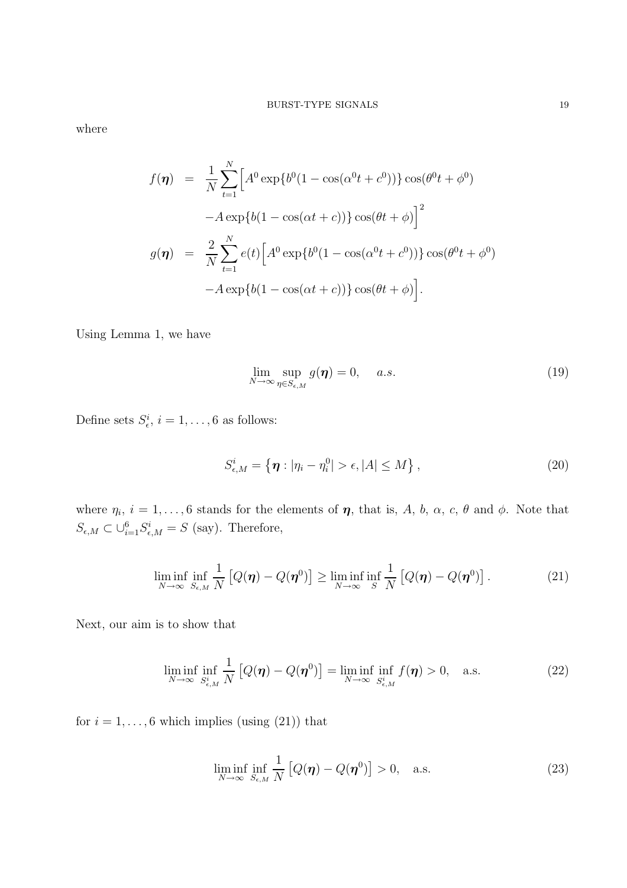where

$$
f(\eta) = \frac{1}{N} \sum_{t=1}^{N} \left[ A^0 \exp\{b^0 (1 - \cos(\alpha^0 t + c^0)) \} \cos(\theta^0 t + \phi^0) - A \exp\{b(1 - \cos(\alpha t + c)) \} \cos(\theta t + \phi) \right]^2
$$
  

$$
g(\eta) = \frac{2}{N} \sum_{t=1}^{N} e(t) \left[ A^0 \exp\{b^0 (1 - \cos(\alpha^0 t + c^0)) \} \cos(\theta^0 t + \phi^0) - A \exp\{b(1 - \cos(\alpha t + c)) \} \cos(\theta t + \phi) \right].
$$

Using Lemma 1, we have

$$
\lim_{N \to \infty} \sup_{\eta \in S_{\epsilon,M}} g(\eta) = 0, \quad a.s.
$$
\n(19)

Define sets  $S_{\epsilon}^i$ ,  $i = 1, ..., 6$  as follows:

$$
S_{\epsilon,M}^i = \left\{ \boldsymbol{\eta} : |\eta_i - \eta_i^0| > \epsilon, |A| \le M \right\},\tag{20}
$$

where  $\eta_i$ ,  $i = 1, \ldots, 6$  stands for the elements of  $\eta$ , that is, A, b,  $\alpha$ , c,  $\theta$  and  $\phi$ . Note that  $S_{\epsilon,M} \subset \bigcup_{i=1}^6 S_{\epsilon,M}^i = S$  (say). Therefore,

$$
\liminf_{N \to \infty} \inf_{S_{\epsilon,M}} \frac{1}{N} \left[ Q(\boldsymbol{\eta}) - Q(\boldsymbol{\eta}^0) \right] \ge \liminf_{N \to \infty} \inf_{S} \frac{1}{N} \left[ Q(\boldsymbol{\eta}) - Q(\boldsymbol{\eta}^0) \right]. \tag{21}
$$

Next, our aim is to show that

$$
\liminf_{N \to \infty} \inf_{S_{\epsilon,M}^i} \frac{1}{N} \left[ Q(\boldsymbol{\eta}) - Q(\boldsymbol{\eta}^0) \right] = \liminf_{N \to \infty} \inf_{S_{\epsilon,M}^i} f(\boldsymbol{\eta}) > 0, \quad \text{a.s.}
$$
\n(22)

for  $i = 1, \ldots, 6$  which implies (using  $(21)$ ) that

$$
\liminf_{N \to \infty} \inf_{S_{\epsilon,M}} \frac{1}{N} \left[ Q(\boldsymbol{\eta}) - Q(\boldsymbol{\eta}^0) \right] > 0, \quad \text{a.s.}
$$
\n(23)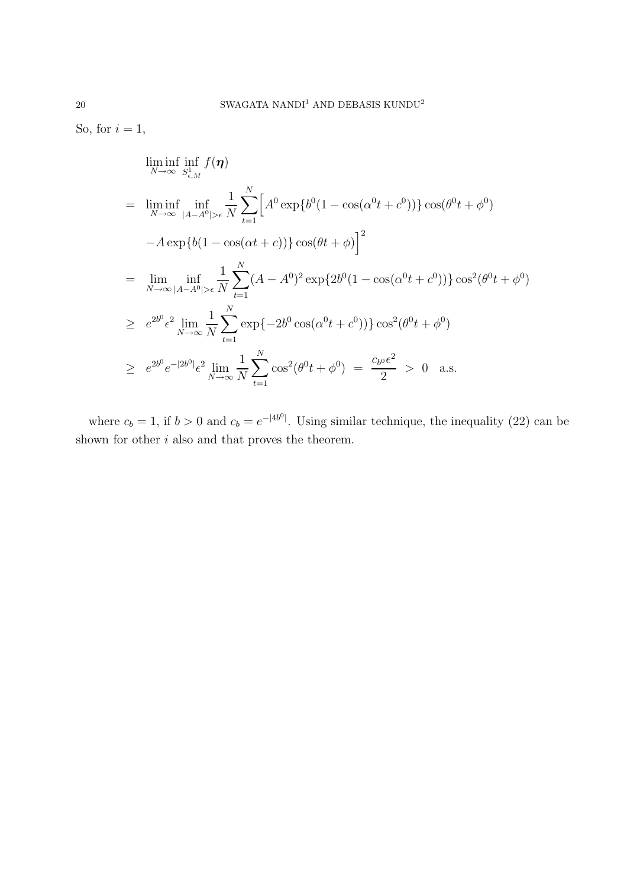So, for  $i = 1$ ,

$$
\liminf_{N \to \infty} \inf_{S_{\epsilon,M}^1} f(\eta)
$$
\n
$$
= \liminf_{N \to \infty} \inf_{|A-A^0| > \epsilon} \frac{1}{N} \sum_{t=1}^N \Big[ A^0 \exp\{b^0 (1 - \cos(\alpha^0 t + c^0)) \} \cos(\theta^0 t + \phi^0)
$$
\n
$$
-A \exp\{b(1 - \cos(\alpha t + c)) \} \cos(\theta t + \phi)\Big]^2
$$
\n
$$
= \lim_{N \to \infty} \inf_{|A-A^0| > \epsilon} \frac{1}{N} \sum_{t=1}^N (A - A^0)^2 \exp\{2b^0 (1 - \cos(\alpha^0 t + c^0)) \} \cos^2(\theta^0 t + \phi^0)
$$
\n
$$
\geq e^{2b^0} \epsilon^2 \lim_{N \to \infty} \frac{1}{N} \sum_{t=1}^N \exp\{-2b^0 \cos(\alpha^0 t + c^0)) \} \cos^2(\theta^0 t + \phi^0)
$$
\n
$$
\geq e^{2b^0} e^{-|2b^0|} \epsilon^2 \lim_{N \to \infty} \frac{1}{N} \sum_{t=1}^N \cos^2(\theta^0 t + \phi^0) = \frac{c_{b^0} \epsilon^2}{2} > 0 \quad \text{a.s.}
$$

where  $c_b = 1$ , if  $b > 0$  and  $c_b = e^{-|4b^0|}$ . Using similar technique, the inequality (22) can be shown for other  $i$  also and that proves the theorem.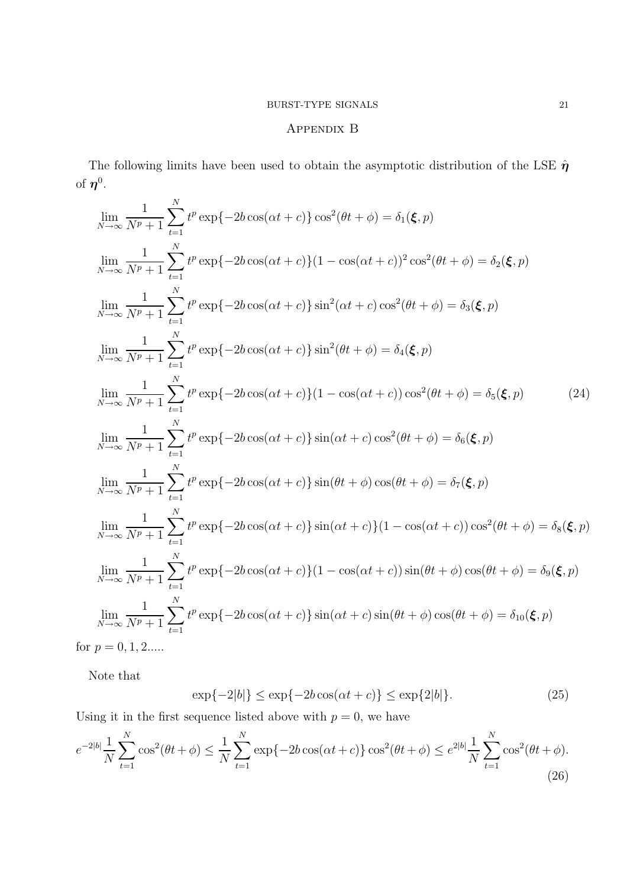# Appendix B

The following limits have been used to obtain the asymptotic distribution of the LSE  $\hat{\eta}$ of  $\boldsymbol{\eta}^0$ .

$$
\lim_{N \to \infty} \frac{1}{N^p + 1} \sum_{t=1}^{N} t^p \exp\{-2b \cos(\alpha t + c)\} \cos^2(\theta t + \phi) = \delta_1(\xi, p)
$$
\n
$$
\lim_{N \to \infty} \frac{1}{N^p + 1} \sum_{t=1}^{N} t^p \exp\{-2b \cos(\alpha t + c)\} (1 - \cos(\alpha t + c))^2 \cos^2(\theta t + \phi) = \delta_2(\xi, p)
$$
\n
$$
\lim_{N \to \infty} \frac{1}{N^p + 1} \sum_{t=1}^{N} t^p \exp\{-2b \cos(\alpha t + c)\} \sin^2(\alpha t + c) \cos^2(\theta t + \phi) = \delta_3(\xi, p)
$$
\n
$$
\lim_{N \to \infty} \frac{1}{N^p + 1} \sum_{t=1}^{N} t^p \exp\{-2b \cos(\alpha t + c)\} \sin^2(\theta t + \phi) = \delta_4(\xi, p)
$$
\n
$$
\lim_{N \to \infty} \frac{1}{N^p + 1} \sum_{t=1}^{N} t^p \exp\{-2b \cos(\alpha t + c)\} (1 - \cos(\alpha t + c)) \cos^2(\theta t + \phi) = \delta_5(\xi, p)
$$
\n
$$
\lim_{N \to \infty} \frac{1}{N^p + 1} \sum_{t=1}^{N} t^p \exp\{-2b \cos(\alpha t + c)\} \sin(\alpha t + c) \cos^2(\theta t + \phi) = \delta_6(\xi, p)
$$
\n
$$
\lim_{N \to \infty} \frac{1}{N^p + 1} \sum_{t=1}^{N} t^p \exp\{-2b \cos(\alpha t + c)\} \sin(\theta t + \phi) \cos(\theta t + \phi) = \delta_7(\xi, p)
$$
\n
$$
\lim_{N \to \infty} \frac{1}{N^p + 1} \sum_{t=1}^{N} t^p \exp\{-2b \cos(\alpha t + c)\} \sin(\alpha t + c)\} (1 - \cos(\alpha t + c)) \cos^2(\theta t + \phi) = \delta_8(\xi, p)
$$
\n
$$
\lim_{N \to \infty} \frac{1}{N^p + 1} \sum_{t=1}^{N} t^p \exp\{-2b \cos(\alpha t + c)\} (1 - \cos(\alpha t + c
$$

Note that

$$
\exp\{-2|b|\} \le \exp\{-2b\cos(\alpha t + c)\} \le \exp\{2|b|\}.\tag{25}
$$

Using it in the first sequence listed above with  $p = 0$ , we have

$$
e^{-2|b|}\frac{1}{N}\sum_{t=1}^{N}\cos^{2}(\theta t+\phi) \leq \frac{1}{N}\sum_{t=1}^{N}\exp\{-2b\cos(\alpha t+c)\}\cos^{2}(\theta t+\phi) \leq e^{2|b|}\frac{1}{N}\sum_{t=1}^{N}\cos^{2}(\theta t+\phi).
$$
\n(26)